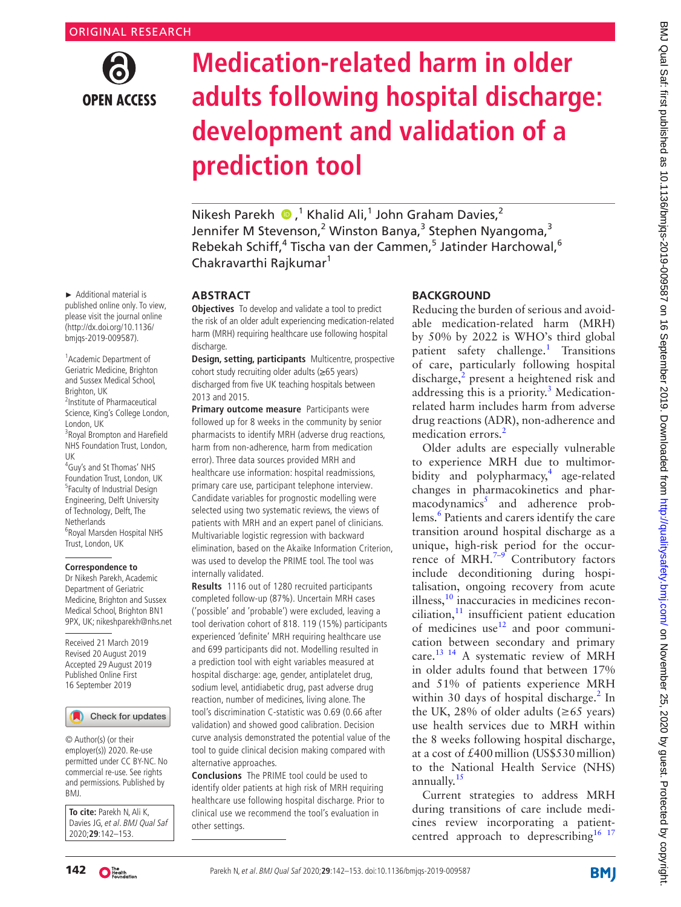

# **Medication-related harm in older adults following hospital discharge: development and validation of a prediction tool**

Nikesh Parekh <sup>®</sup>,<sup>1</sup> Khalid Ali,<sup>1</sup> John Graham Davies,<sup>2</sup> Jennifer M Stevenson,<sup>2</sup> Winston Banya,<sup>3</sup> Stephen Nyangoma,<sup>3</sup> Rebekah Schiff,<sup>4</sup> Tischa van der Cammen,<sup>5</sup> Jatinder Harchowal,<sup>6</sup> Chakravarthi Rajkumar<sup>1</sup>

### **Abstract**

**Objectives** To develop and validate a tool to predict the risk of an older adult experiencing medication-related harm (MRH) requiring healthcare use following hospital discharge.

**Design, setting, participants** Multicentre, prospective cohort study recruiting older adults (≥65 years) discharged from five UK teaching hospitals between 2013 and 2015.

**Primary outcome measure** Participants were followed up for 8 weeks in the community by senior pharmacists to identify MRH (adverse drug reactions, harm from non-adherence, harm from medication error). Three data sources provided MRH and healthcare use information: hospital readmissions, primary care use, participant telephone interview. Candidate variables for prognostic modelling were selected using two systematic reviews, the views of patients with MRH and an expert panel of clinicians. Multivariable logistic regression with backward elimination, based on the Akaike Information Criterion, was used to develop the PRIME tool. The tool was internally validated.

**Results** 1116 out of 1280 recruited participants completed follow-up (87%). Uncertain MRH cases ('possible' and 'probable') were excluded, leaving a tool derivation cohort of 818. 119 (15%) participants experienced 'definite' MRH requiring healthcare use and 699 participants did not. Modelling resulted in a prediction tool with eight variables measured at hospital discharge: age, gender, antiplatelet drug, sodium level, antidiabetic drug, past adverse drug reaction, number of medicines, living alone. The tool's discrimination C-statistic was 0.69 (0.66 after validation) and showed good calibration. Decision curve analysis demonstrated the potential value of the tool to guide clinical decision making compared with alternative approaches.

**Conclusions** The PRIME tool could be used to identify older patients at high risk of MRH requiring healthcare use following hospital discharge. Prior to clinical use we recommend the tool's evaluation in other settings.

# **BACKGROUND**

Reducing the burden of serious and avoidable medication-related harm (MRH) by 50% by 2022 is WHO's third global patient safety challenge.<sup>[1](#page-8-0)</sup> Transitions of care, particularly following hospital discharge, ${}^{2}$  ${}^{2}$  ${}^{2}$  present a heightened risk and addressing this is a priority.<sup>[3](#page-8-2)</sup> Medicationrelated harm includes harm from adverse drug reactions (ADR), non-adherence and medication errors.<sup>[2](#page-8-1)</sup>

Older adults are especially vulnerable to experience MRH due to multimorbidity and polypharmacy,<sup>4</sup> age-related changes in pharmacokinetics and pharmacodynamics<sup>5</sup> and adherence prob-lems.<sup>[6](#page-8-5)</sup> Patients and carers identify the care transition around hospital discharge as a unique, high-risk period for the occurrence of MRH. $7-9$  Contributory factors include deconditioning during hospitalisation, ongoing recovery from acute illness, $10$  inaccuracies in medicines reconciliation, $11$  insufficient patient education of medicines use $12$  and poor communication between secondary and primary care.<sup>[13 14](#page-8-10)</sup> A systematic review of MRH in older adults found that between 17% and 51% of patients experience MRH within 30 days of hospital discharge.<sup>[2](#page-8-1)</sup> In the UK, 28% of older adults ( $\geq 65$  years) use health services due to MRH within the 8 weeks following hospital discharge, at a cost of £400million (US\$530million) to the National Health Service (NHS) annually.<sup>[15](#page-8-11)</sup>

Current strategies to address MRH during transitions of care include medicines review incorporating a patientcentred approach to deprescribing<sup>16</sup> <sup>17</sup>

► Additional material is published online only. To view, please visit the journal online (http://dx.doi.org/10.1136/ bmjqs-2019-009587).

<sup>1</sup> Academic Department of Geriatric Medicine, Brighton and Sussex Medical School, Brighton, UK

2 Institute of Pharmaceutical Science, King's College London, London, UK

<sup>3</sup> Royal Brompton and Harefield NHS Foundation Trust, London, UK

<sup>4</sup>Guy's and St Thomas' NHS Foundation Trust, London, UK <sup>5</sup> Faculty of Industrial Design Engineering, Delft University of Technology, Delft, The **Netherlands** 6 Royal Marsden Hospital NHS

Trust, London, UK

#### **Correspondence to**

Dr Nikesh Parekh, Academic Department of Geriatric Medicine, Brighton and Sussex Medical School, Brighton BN1 9PX, UK; nikeshparekh@nhs.net

Received 21 March 2019 Revised 20 August 2019 Accepted 29 August 2019 Published Online First 16 September 2019



© Author(s) (or their employer(s)) 2020. Re-use permitted under CC BY-NC. No commercial re-use. See rights and permissions. Published by BMJ.

**To cite:** Parekh N, Ali K, Davies JG, et al. BMJ Qual Saf 2020;**29**:142–153.

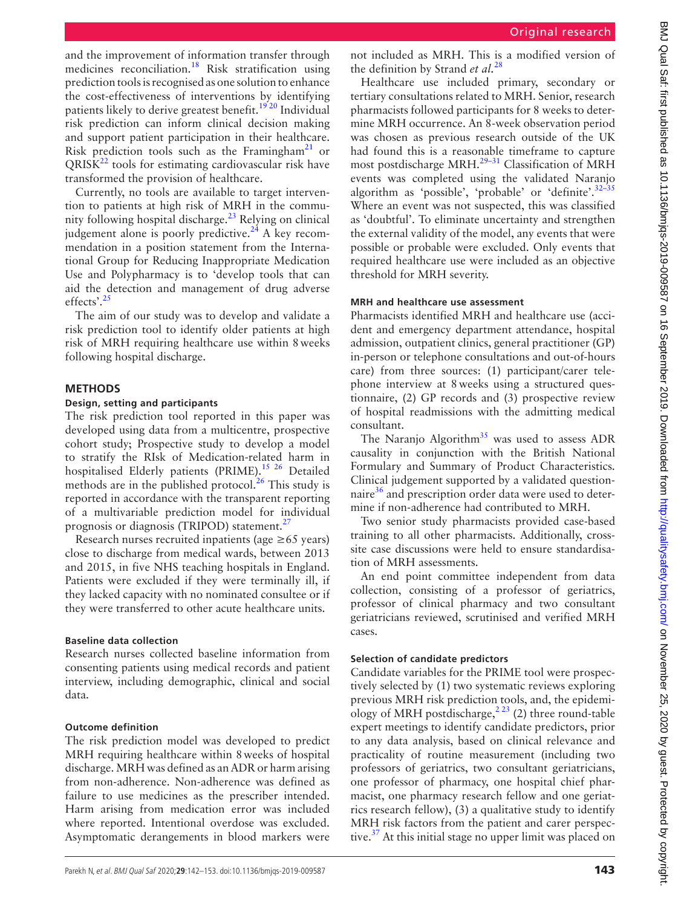and the improvement of information transfer through medicines reconciliation.<sup>18</sup> Risk stratification using prediction tools is recognised as one solution to enhance the cost-effectiveness of interventions by identifying patients likely to derive greatest benefit.<sup>19 20</sup> Individual risk prediction can inform clinical decision making and support patient participation in their healthcare. Risk prediction tools such as the Framingham<sup>[21](#page-9-2)</sup> or  $QRISK^{22}$  tools for estimating cardiovascular risk have transformed the provision of healthcare.

Currently, no tools are available to target intervention to patients at high risk of MRH in the community following hospital discharge.<sup>23</sup> Relying on clinical judgement alone is poorly predictive.<sup>24</sup> A key recommendation in a position statement from the International Group for Reducing Inappropriate Medication Use and Polypharmacy is to 'develop tools that can aid the detection and management of drug adverse effects'.[25](#page-9-6)

The aim of our study was to develop and validate a risk prediction tool to identify older patients at high risk of MRH requiring healthcare use within 8weeks following hospital discharge.

## **Methods**

### **Design, setting and participants**

The risk prediction tool reported in this paper was developed using data from a multicentre, prospective cohort study; Prospective study to develop a model to stratify the RIsk of Medication-related harm in hospitalised Elderly patients (PRIME).<sup>[15 26](#page-8-11)</sup> Detailed methods are in the published protocol. $^{26}$  This study is reported in accordance with the transparent reporting of a multivariable prediction model for individual prognosis or diagnosis (TRIPOD) statement.<sup>[27](#page-9-8)</sup>

Research nurses recruited inpatients (age  $\geq 65$  years) close to discharge from medical wards, between 2013 and 2015, in five NHS teaching hospitals in England. Patients were excluded if they were terminally ill, if they lacked capacity with no nominated consultee or if they were transferred to other acute healthcare units.

#### **Baseline data collection**

Research nurses collected baseline information from consenting patients using medical records and patient interview, including demographic, clinical and social data.

#### **Outcome definition**

The risk prediction model was developed to predict MRH requiring healthcare within 8weeks of hospital discharge. MRH was defined as an ADR or harm arising from non-adherence. Non-adherence was defined as failure to use medicines as the prescriber intended. Harm arising from medication error was included where reported. Intentional overdose was excluded. Asymptomatic derangements in blood markers were

not included as MRH. This is a modified version of the definition by Strand *et al.*[28](#page-9-9)

Healthcare use included primary, secondary or tertiary consultations related to MRH. Senior, research pharmacists followed participants for 8 weeks to determine MRH occurrence. An 8-week observation period was chosen as previous research outside of the UK had found this is a reasonable timeframe to capture most postdischarge MRH.<sup>29-31</sup> Classification of MRH events was completed using the validated Naranjo algorithm as 'possible', 'probable' or 'definite'. $32-35$ Where an event was not suspected, this was classified as 'doubtful'. To eliminate uncertainty and strengthen the external validity of the model, any events that were possible or probable were excluded. Only events that required healthcare use were included as an objective threshold for MRH severity.

### **MRH and healthcare use assessment**

Pharmacists identified MRH and healthcare use (accident and emergency department attendance, hospital admission, outpatient clinics, general practitioner (GP) in-person or telephone consultations and out-of-hours care) from three sources: (1) participant/carer telephone interview at 8weeks using a structured questionnaire, (2) GP records and (3) prospective review of hospital readmissions with the admitting medical consultant.

The Naranjo Algorithm<sup>[35](#page-9-12)</sup> was used to assess ADR causality in conjunction with the British National Formulary and Summary of Product Characteristics. Clinical judgement supported by a validated questionnaire $36$  and prescription order data were used to determine if non-adherence had contributed to MRH.

Two senior study pharmacists provided case-based training to all other pharmacists. Additionally, crosssite case discussions were held to ensure standardisation of MRH assessments.

An end point committee independent from data collection, consisting of a professor of geriatrics, professor of clinical pharmacy and two consultant geriatricians reviewed, scrutinised and verified MRH cases.

### **Selection of candidate predictors**

Candidate variables for the PRIME tool were prospectively selected by (1) two systematic reviews exploring previous MRH risk prediction tools, and, the epidemiology of MRH postdischarge,<sup>223</sup> (2) three round-table expert meetings to identify candidate predictors, prior to any data analysis, based on clinical relevance and practicality of routine measurement (including two professors of geriatrics, two consultant geriatricians, one professor of pharmacy, one hospital chief pharmacist, one pharmacy research fellow and one geriatrics research fellow), (3) a qualitative study to identify MRH risk factors from the patient and carer perspective. $37$  At this initial stage no upper limit was placed on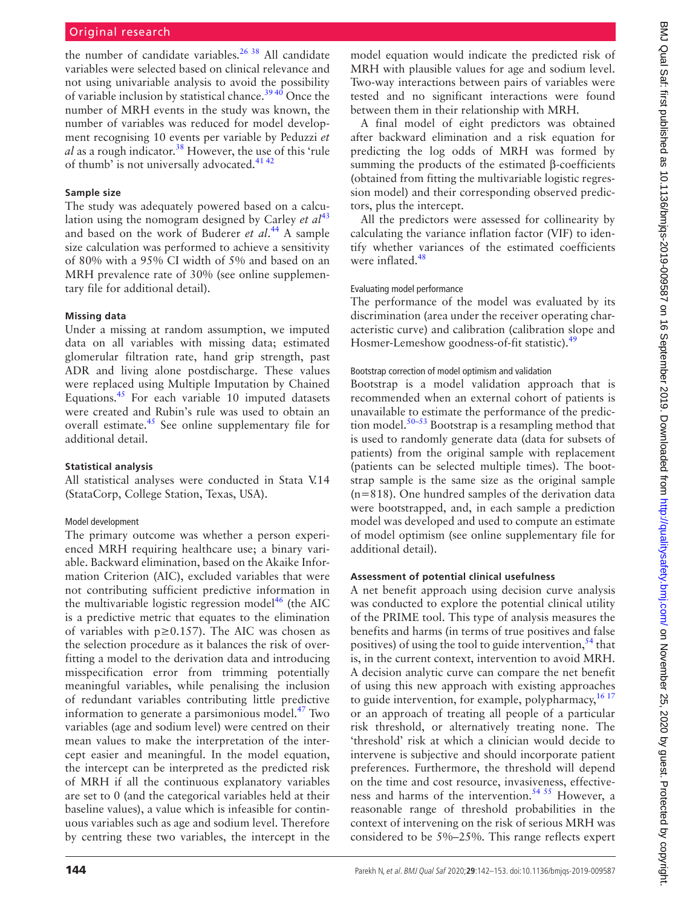# Original research

the number of candidate variables.<sup>[26 38](#page-9-7)</sup> All candidate variables were selected based on clinical relevance and not using univariable analysis to avoid the possibility of variable inclusion by statistical chance[.39 40](#page-9-15) Once the number of MRH events in the study was known, the number of variables was reduced for model development recognising 10 events per variable by Peduzzi *et al* as a rough indicator.[38](#page-9-16) However, the use of this 'rule of thumb' is not universally advocated.<sup>41 42</sup>

#### **Sample size**

The study was adequately powered based on a calculation using the nomogram designed by Carley *et al*<sup>[43](#page-9-18)</sup> and based on the work of Buderer *et al*. [44](#page-9-19) A sample size calculation was performed to achieve a sensitivity of 80% with a 95% CI width of 5% and based on an MRH prevalence rate of 30% (see [online supplemen](https://dx.doi.org/10.1136/bmjqs-2019-009587)[tary file](https://dx.doi.org/10.1136/bmjqs-2019-009587) for additional detail).

#### **Missing data**

Under a missing at random assumption, we imputed data on all variables with missing data; estimated glomerular filtration rate, hand grip strength, past ADR and living alone postdischarge. These values were replaced using Multiple Imputation by Chained Equations[.45](#page-9-20) For each variable 10 imputed datasets were created and Rubin's rule was used to obtain an overall estimate.[45](#page-9-20) See [online supplementary file](https://dx.doi.org/10.1136/bmjqs-2019-009587) for additional detail.

#### **Statistical analysis**

All statistical analyses were conducted in Stata V.14 (StataCorp, College Station, Texas, USA).

### Model development

The primary outcome was whether a person experienced MRH requiring healthcare use; a binary variable. Backward elimination, based on the Akaike Information Criterion (AIC), excluded variables that were not contributing sufficient predictive information in the multivariable logistic regression model $46$  (the AIC is a predictive metric that equates to the elimination of variables with p≥0.157). The AIC was chosen as the selection procedure as it balances the risk of overfitting a model to the derivation data and introducing misspecification error from trimming potentially meaningful variables, while penalising the inclusion of redundant variables contributing little predictive information to generate a parsimonious model.<sup>47</sup> Two variables (age and sodium level) were centred on their mean values to make the interpretation of the intercept easier and meaningful. In the model equation, the intercept can be interpreted as the predicted risk of MRH if all the continuous explanatory variables are set to 0 (and the categorical variables held at their baseline values), a value which is infeasible for continuous variables such as age and sodium level. Therefore by centring these two variables, the intercept in the

model equation would indicate the predicted risk of MRH with plausible values for age and sodium level. Two-way interactions between pairs of variables were tested and no significant interactions were found between them in their relationship with MRH.

A final model of eight predictors was obtained after backward elimination and a risk equation for predicting the log odds of MRH was formed by summing the products of the estimated β-coefficients (obtained from fitting the multivariable logistic regression model) and their corresponding observed predictors, plus the intercept.

All the predictors were assessed for collinearity by calculating the variance inflation factor (VIF) to identify whether variances of the estimated coefficients were inflated.<sup>[48](#page-9-23)</sup>

#### Evaluating model performance

The performance of the model was evaluated by its discrimination (area under the receiver operating characteristic curve) and calibration (calibration slope and Hosmer-Lemeshow goodness-of-fit statistic).<sup>[49](#page-9-24)</sup>

#### Bootstrap correction of model optimism and validation

Bootstrap is a model validation approach that is recommended when an external cohort of patients is unavailable to estimate the performance of the prediction model. $50-53$  Bootstrap is a resampling method that is used to randomly generate data (data for subsets of patients) from the original sample with replacement (patients can be selected multiple times). The bootstrap sample is the same size as the original sample (n=818). One hundred samples of the derivation data were bootstrapped, and, in each sample a prediction model was developed and used to compute an estimate of model optimism (see [online supplementary file](https://dx.doi.org/10.1136/bmjqs-2019-009587) for additional detail).

### **Assessment of potential clinical usefulness**

A net benefit approach using decision curve analysis was conducted to explore the potential clinical utility of the PRIME tool. This type of analysis measures the benefits and harms (in terms of true positives and false positives) of using the tool to guide intervention,  $54$  that is, in the current context, intervention to avoid MRH. A decision analytic curve can compare the net benefit of using this new approach with existing approaches to guide intervention, for example, polypharmacy,  $1617$ or an approach of treating all people of a particular risk threshold, or alternatively treating none. The 'threshold' risk at which a clinician would decide to intervene is subjective and should incorporate patient preferences. Furthermore, the threshold will depend on the time and cost resource, invasiveness, effective-ness and harms of the intervention.<sup>[54 55](#page-9-26)</sup> However, a reasonable range of threshold probabilities in the context of intervening on the risk of serious MRH was considered to be 5%–25%. This range reflects expert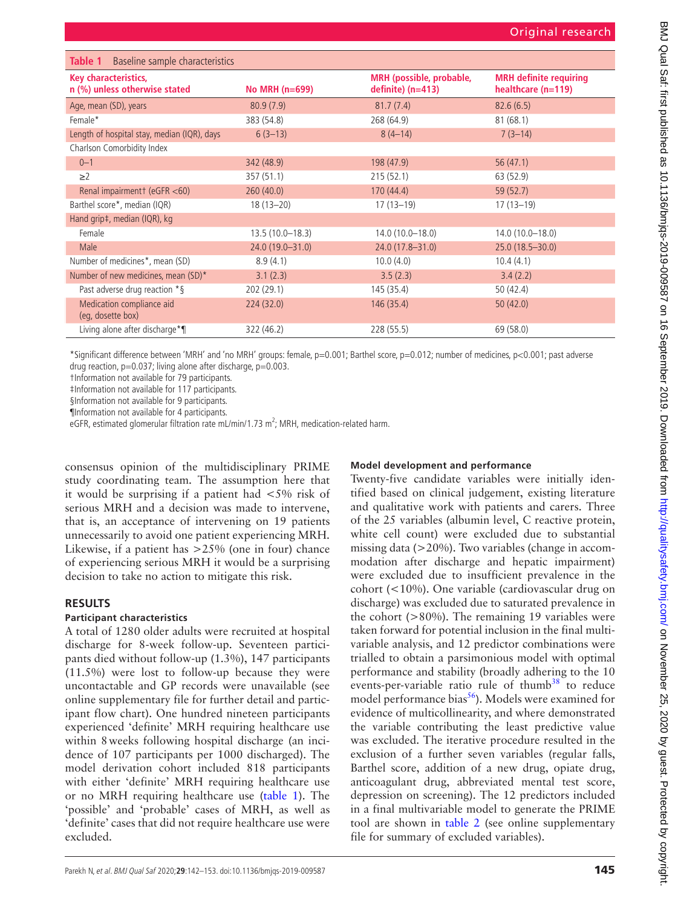<span id="page-3-0"></span>

| Baseline sample characteristics<br>Table 1            |                   |                                                 |                                                       |
|-------------------------------------------------------|-------------------|-------------------------------------------------|-------------------------------------------------------|
| Key characteristics,<br>n (%) unless otherwise stated | No MRH (n=699)    | MRH (possible, probable,<br>definite) $(n=413)$ | <b>MRH</b> definite requiring<br>healthcare $(n=119)$ |
| Age, mean (SD), years                                 | 80.9(7.9)         | 81.7(7.4)                                       | 82.6(6.5)                                             |
| Female*                                               | 383 (54.8)        | 268 (64.9)                                      | 81(68.1)                                              |
| Length of hospital stay, median (IQR), days           | $6(3-13)$         | $8(4-14)$                                       | $7(3-14)$                                             |
| Charlson Comorbidity Index                            |                   |                                                 |                                                       |
| $0 - 1$                                               | 342 (48.9)        | 198 (47.9)                                      | 56(47.1)                                              |
| $\geq$ 2                                              | 357(51.1)         | 215(52.1)                                       | 63 (52.9)                                             |
| Renal impairment + (eGFR <60)                         | 260(40.0)         | 170(44.4)                                       | 59 (52.7)                                             |
| Barthel score*, median (IQR)                          | $18(13 - 20)$     | $17(13-19)$                                     | $17(13-19)$                                           |
| Hand grip‡, median (IQR), kg                          |                   |                                                 |                                                       |
| Female                                                | $13.5(10.0-18.3)$ | 14.0 (10.0–18.0)                                | $14.0(10.0 - 18.0)$                                   |
| Male                                                  | 24.0 (19.0-31.0)  | 24.0 (17.8-31.0)                                | $25.0(18.5 - 30.0)$                                   |
| Number of medicines*, mean (SD)                       | 8.9(4.1)          | 10.0(4.0)                                       | 10.4(4.1)                                             |
| Number of new medicines, mean (SD)*                   | 3.1(2.3)          | 3.5(2.3)                                        | 3.4(2.2)                                              |
| Past adverse drug reaction *§                         | 202(29.1)         | 145 (35.4)                                      | 50 (42.4)                                             |
| Medication compliance aid<br>(eq, dosette box)        | 224(32.0)         | 146 (35.4)                                      | 50(42.0)                                              |
| Living alone after discharge*¶                        | 322 (46.2)        | 228 (55.5)                                      | 69 (58.0)                                             |

\*Significant difference between 'MRH' and 'no MRH' groups: female, p=0.001; Barthel score, p=0.012; number of medicines, p<0.001; past adverse drug reaction,  $p=0.037$ ; living alone after discharge,  $p=0.003$ .

†Information not available for 79 participants.

‡Information not available for 117 participants.

§Information not available for 9 participants.

¶Information not available for 4 participants.

eGFR, estimated glomerular filtration rate mL/min/1.73 m<sup>2</sup>; MRH, medication-related harm.

consensus opinion of the multidisciplinary PRIME study coordinating team. The assumption here that it would be surprising if a patient had <5% risk of serious MRH and a decision was made to intervene, that is, an acceptance of intervening on 19 patients unnecessarily to avoid one patient experiencing MRH. Likewise, if a patient has >25% (one in four) chance of experiencing serious MRH it would be a surprising decision to take no action to mitigate this risk.

#### **Results**

### **Participant characteristics**

A total of 1280 older adults were recruited at hospital discharge for 8-week follow-up. Seventeen participants died without follow-up (1.3%), 147 participants (11.5%) were lost to follow-up because they were uncontactable and GP records were unavailable (see [online supplementary file](https://dx.doi.org/10.1136/bmjqs-2019-009587) for further detail and participant flow chart). One hundred nineteen participants experienced 'definite' MRH requiring healthcare use within 8weeks following hospital discharge (an incidence of 107 participants per 1000 discharged). The model derivation cohort included 818 participants with either 'definite' MRH requiring healthcare use or no MRH requiring healthcare use [\(table](#page-3-0) 1). The 'possible' and 'probable' cases of MRH, as well as 'definite' cases that did not require healthcare use were excluded.

### **Model development and performance**

Twenty-five candidate variables were initially identified based on clinical judgement, existing literature and qualitative work with patients and carers. Three of the 25 variables (albumin level, C reactive protein, white cell count) were excluded due to substantial missing data  $(>20\%)$ . Two variables (change in accommodation after discharge and hepatic impairment) were excluded due to insufficient prevalence in the cohort (<10%). One variable (cardiovascular drug on discharge) was excluded due to saturated prevalence in the cohort  $(>80\%)$ . The remaining 19 variables were taken forward for potential inclusion in the final multivariable analysis, and 12 predictor combinations were trialled to obtain a parsimonious model with optimal performance and stability (broadly adhering to the 10 events-per-variable ratio rule of thumb<sup>[38](#page-9-16)</sup> to reduce model performance bias $<sup>56</sup>$  $<sup>56</sup>$  $<sup>56</sup>$ ). Models were examined for</sup> evidence of multicollinearity, and where demonstrated the variable contributing the least predictive value was excluded. The iterative procedure resulted in the exclusion of a further seven variables (regular falls, Barthel score, addition of a new drug, opiate drug, anticoagulant drug, abbreviated mental test score, depression on screening). The 12 predictors included in a final multivariable model to generate the PRIME tool are shown in [table](#page-4-0) 2 (see [online supplementary](https://dx.doi.org/10.1136/bmjqs-2019-009587) [file](https://dx.doi.org/10.1136/bmjqs-2019-009587) for summary of excluded variables).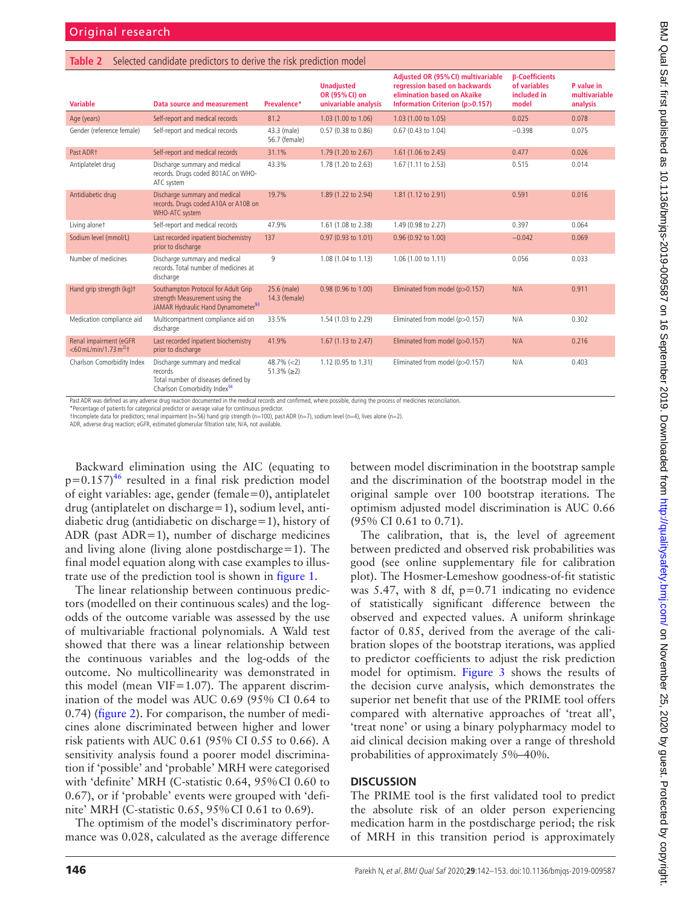#### <span id="page-4-0"></span>**Table 2** Selected candidate predictors to derive the risk prediction model

| <b>Variable</b>                                                | <b>Data source and measurement</b>                                                                                          | Prevalence*                           | <b>Unadjusted</b><br>OR (95% CI) on<br>univariable analysis | Adjusted OR (95% CI) multivariable<br>regression based on backwards<br>elimination based on Akaike<br>Information Criterion (p>0.157) | <b>B-Coefficients</b><br>of variables<br>included in<br>model | P value in<br>multivariable<br>analysis |
|----------------------------------------------------------------|-----------------------------------------------------------------------------------------------------------------------------|---------------------------------------|-------------------------------------------------------------|---------------------------------------------------------------------------------------------------------------------------------------|---------------------------------------------------------------|-----------------------------------------|
| Age (years)                                                    | Self-report and medical records                                                                                             | 81.2                                  | 1.03 (1.00 to 1.06)                                         | 1.03 (1.00 to 1.05)                                                                                                                   | 0.025                                                         | 0.078                                   |
| Gender (reference female)                                      | Self-report and medical records                                                                                             | 43.3 (male)<br>56.7 (female)          | 0.57 (0.38 to 0.86)                                         | 0.67 (0.43 to 1.04)                                                                                                                   | $-0.398$                                                      | 0.075                                   |
| Past ADR <sup>+</sup>                                          | Self-report and medical records                                                                                             | 31.1%                                 | 1.79 (1.20 to 2.67)                                         | 1.61 (1.06 to 2.45)                                                                                                                   | 0.477                                                         | 0.026                                   |
| Antiplatelet drug                                              | Discharge summary and medical<br>records. Drugs coded B01AC on WHO-<br>ATC system                                           | 43.3%                                 | 1.78 (1.20 to 2.63)                                         | 1.67 (1.11 to 2.53)                                                                                                                   | 0.515                                                         | 0.014                                   |
| Antidiabetic drug                                              | Discharge summary and medical<br>records. Drugs coded A10A or A10B on<br>WHO-ATC system                                     | 19.7%                                 | 1.89 (1.22 to 2.94)                                         | 1.81 (1.12 to 2.91)                                                                                                                   | 0.591                                                         | 0.016                                   |
| Living alonet                                                  | Self-report and medical records                                                                                             | 47.9%                                 | 1.61 (1.08 to 2.38)                                         | 1.49 (0.98 to 2.27)                                                                                                                   | 0.397                                                         | 0.064                                   |
| Sodium level (mmol/L)                                          | Last recorded inpatient biochemistry<br>prior to discharge                                                                  | 137                                   | 0.97 (0.93 to 1.01)                                         | 0.96 (0.92 to 1.00)                                                                                                                   | $-0.042$                                                      | 0.069                                   |
| Number of medicines                                            | Discharge summary and medical<br>records. Total number of medicines at<br>discharge                                         | 9                                     | 1.08 (1.04 to 1.13)                                         | 1.06 (1.00 to 1.11)                                                                                                                   | 0.056                                                         | 0.033                                   |
| Hand grip strength (kg)+                                       | Southampton Protocol for Adult Grip<br>strength Measurement using the<br>JAMAR Hydraulic Hand Dynamometer <sup>93</sup>     | 25.6 (male)<br>14.3 (female)          | 0.98 (0.96 to 1.00)                                         | Eliminated from model (p>0.157)                                                                                                       | N/A                                                           | 0.911                                   |
| Medication compliance aid                                      | Multicompartment compliance aid on<br>discharge                                                                             | 33.5%                                 | 1.54 (1.03 to 2.29)                                         | Eliminated from model (p>0.157)                                                                                                       | N/A                                                           | 0.302                                   |
| Renal impairment (eGFR<br>$<$ 60 mL/min/1.73 m <sup>2)</sup> t | Last recorded inpatient biochemistry<br>prior to discharge                                                                  | 41.9%                                 | 1.67 (1.13 to 2.47)                                         | Eliminated from model (p>0.157)                                                                                                       | N/A                                                           | 0.216                                   |
| Charlson Comorbidity Index                                     | Discharge summary and medical<br>records<br>Total number of diseases defined by<br>Charleon Comorbidity Indov <sup>94</sup> | $48.7\%$ (<2)<br>$51.3\%$ ( $\geq$ 2) | 1.12 (0.95 to 1.31)                                         | Eliminated from model (p>0.157)                                                                                                       | N/A                                                           | 0.403                                   |

Charlson Comorbidity Index<sup>[94](#page-11-1)</sup>

Past ADR was defined as any adverse drug reaction documented in the medical records and confirmed, where possible, during the process of medicines reconciliation.

\*Percentage of patients for categorical predictor or average value for continuous predictor.<br>†Incomplete data for predictors; renal impairment (n=56) hand grip strength (n=100), past ADR (n=7), sodium level (n=4), lives al

ADR, adverse drug reaction; eGFR, estimated glomerular filtration rate; N/A, not available.

Backward elimination using the AIC (equating to  $p=0.157$ <sup>46</sup> resulted in a final risk prediction model of eight variables: age, gender (female=0), antiplatelet drug (antiplatelet on discharge=1), sodium level, antidiabetic drug (antidiabetic on discharge=1), history of ADR (past  $ADR=1$ ), number of discharge medicines and living alone (living alone postdischarge=1). The final model equation along with case examples to illustrate use of the prediction tool is shown in [figure](#page-5-0) 1.

The linear relationship between continuous predictors (modelled on their continuous scales) and the logodds of the outcome variable was assessed by the use of multivariable fractional polynomials. A Wald test showed that there was a linear relationship between the continuous variables and the log-odds of the outcome. No multicollinearity was demonstrated in this model (mean  $VIF=1.07$ ). The apparent discrimination of the model was AUC 0.69 (95% CI 0.64 to 0.74) ([figure](#page-6-0) 2). For comparison, the number of medicines alone discriminated between higher and lower risk patients with AUC 0.61 (95% CI 0.55 to 0.66). A sensitivity analysis found a poorer model discrimination if 'possible' and 'probable' MRH were categorised with 'definite' MRH (C-statistic 0.64, 95%CI 0.60 to 0.67), or if 'probable' events were grouped with 'definite' MRH (C-statistic 0.65, 95%CI 0.61 to 0.69).

The optimism of the model's discriminatory performance was 0.028, calculated as the average difference between model discrimination in the bootstrap sample and the discrimination of the bootstrap model in the original sample over 100 bootstrap iterations. The optimism adjusted model discrimination is AUC 0.66 (95% CI 0.61 to 0.71).

The calibration, that is, the level of agreement between predicted and observed risk probabilities was good (see [online supplementary file](https://dx.doi.org/10.1136/bmjqs-2019-009587) for calibration plot). The Hosmer-Lemeshow goodness-of-fit statistic was  $5.47$ , with 8 df,  $p=0.71$  indicating no evidence of statistically significant difference between the observed and expected values. A uniform shrinkage factor of 0.85, derived from the average of the calibration slopes of the bootstrap iterations, was applied to predictor coefficients to adjust the risk prediction model for optimism. [Figure](#page-6-1) 3 shows the results of the decision curve analysis, which demonstrates the superior net benefit that use of the PRIME tool offers compared with alternative approaches of 'treat all', 'treat none' or using a binary polypharmacy model to aid clinical decision making over a range of threshold probabilities of approximately 5%–40%.

#### **Discussion**

The PRIME tool is the first validated tool to predict the absolute risk of an older person experiencing medication harm in the postdischarge period; the risk of MRH in this transition period is approximately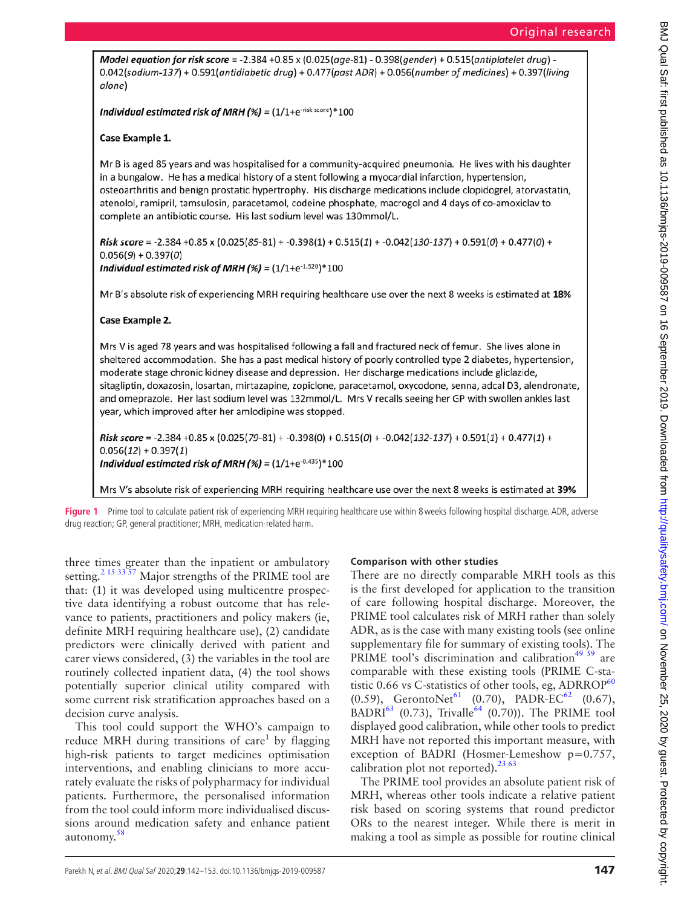Model equation for risk score = -2.384 +0.85 x (0.025(age-81) - 0.398(gender) + 0.515(antiplatelet drug) - $0.042$ (sodium-137) + 0.591(antidiabetic drug) + 0.477(past ADR) + 0.056(number of medicines) + 0.397(living alone) Individual estimated risk of MRH (%) =  $(1/1+e^{-risk \; score})*100$ Case Example 1. Mr B is aged 85 years and was hospitalised for a community-acquired pneumonia. He lives with his daughter in a bungalow. He has a medical history of a stent following a myocardial infarction, hypertension, osteoarthritis and benign prostatic hypertrophy. His discharge medications include clopidogrel, atoryastatin, atenolol, ramipril, tamsulosin, paracetamol, codeine phosphate, macrogol and 4 days of co-amoxiclay to complete an antibiotic course. His last sodium level was 130mmol/L. Risk score = -2.384 +0.85 x (0.025(85-81) + -0.398(1) + 0.515(1) + -0.042(130-137) + 0.591(0) + 0.477(0) +  $0.056(9) + 0.397(0)$ Individual estimated risk of MRH (%) =  $(1/1 + e^{-1.520})$ \*100 Mr B's absolute risk of experiencing MRH requiring healthcare use over the next 8 weeks is estimated at 18% Case Example 2. Mrs V is aged 78 years and was hospitalised following a fall and fractured neck of femur. She lives alone in sheltered accommodation. She has a past medical history of poorly controlled type 2 diabetes, hypertension, moderate stage chronic kidney disease and depression. Her discharge medications include gliclazide, sitagliptin, doxazosin, losartan, mirtazapine, zopiclone, paracetamol, oxycodone, senna, adcal D3, alendronate, and omeprazole. Her last sodium level was 132mmol/L. Mrs V recalls seeing her GP with swollen ankles last year, which improved after her amlodipine was stopped. Risk score = -2.384 +0.85 x (0.025(79-81) + -0.398(0) + 0.515(0) + -0.042(132-137) + 0.591(1) + 0.477(1) +  $0.056(12) + 0.397(1)$ Individual estimated risk of MRH (%) =  $(1/1 + e^{-0.435})*100$ 

<span id="page-5-0"></span>Mrs V's absolute risk of experiencing MRH requiring healthcare use over the next 8 weeks is estimated at 39%



three times greater than the inpatient or ambulatory setting.<sup>[2 15 33 57](#page-8-1)</sup> Major strengths of the PRIME tool are that: (1) it was developed using multicentre prospective data identifying a robust outcome that has relevance to patients, practitioners and policy makers (ie, definite MRH requiring healthcare use), (2) candidate predictors were clinically derived with patient and carer views considered, (3) the variables in the tool are routinely collected inpatient data, (4) the tool shows potentially superior clinical utility compared with some current risk stratification approaches based on a decision curve analysis.

This tool could support the WHO's campaign to reduce MRH during transitions of care<sup>1</sup> by flagging high-risk patients to target medicines optimisation interventions, and enabling clinicians to more accurately evaluate the risks of polypharmacy for individual patients. Furthermore, the personalised information from the tool could inform more individualised discussions around medication safety and enhance patient autonomy.<sup>[58](#page-10-1)</sup>

## **Comparison with other studies**

There are no directly comparable MRH tools as this is the first developed for application to the transition of care following hospital discharge. Moreover, the PRIME tool calculates risk of MRH rather than solely ADR, as is the case with many existing tools (see [online](https://dx.doi.org/10.1136/bmjqs-2019-009587) [supplementary file](https://dx.doi.org/10.1136/bmjqs-2019-009587) for summary of existing tools). The PRIME tool's discrimination and calibration<sup>49 59</sup> are comparable with these existing tools (PRIME C-statistic 0.66 vs C-statistics of other tools, eg, ADRROP $60$  $(0.59)$ , GerontoNet<sup>[61](#page-10-3)</sup> (0.70), PADR-EC<sup>62</sup> (0.67), BADRI<sup>63</sup> (0.73), Trivalle<sup>64</sup> (0.70)). The PRIME tool displayed good calibration, while other tools to predict MRH have not reported this important measure, with exception of BADRI (Hosmer-Lemeshow p=0.757, calibration plot not reported). $^{2363}$ 

The PRIME tool provides an absolute patient risk of MRH, whereas other tools indicate a relative patient risk based on scoring systems that round predictor ORs to the nearest integer. While there is merit in making a tool as simple as possible for routine clinical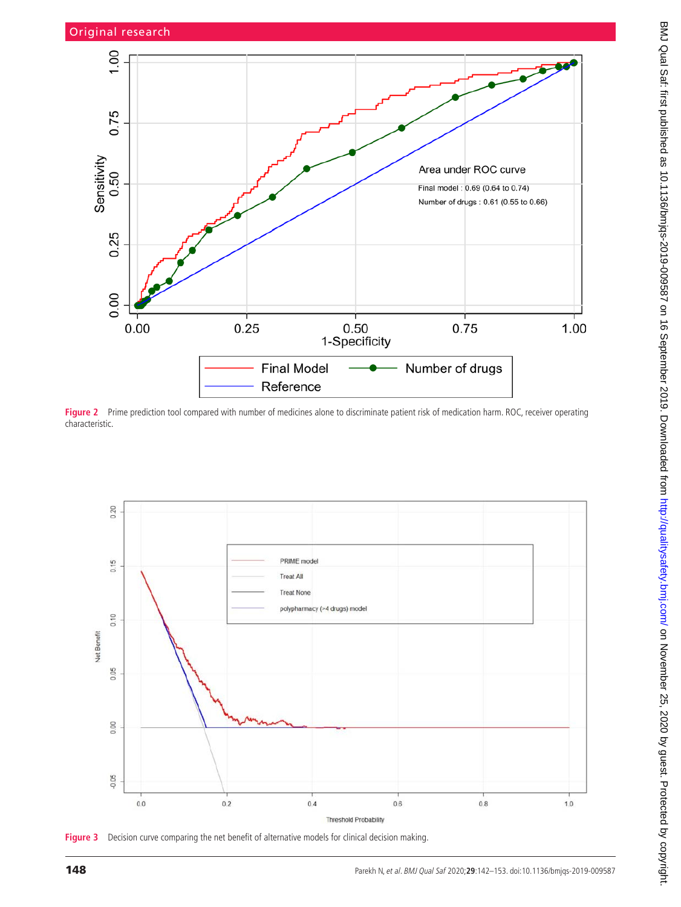

<span id="page-6-0"></span>Figure 2 Prime prediction tool compared with number of medicines alone to discriminate patient risk of medication harm. ROC, receiver operating characteristic.



<span id="page-6-1"></span>Figure 3 Decision curve comparing the net benefit of alternative models for clinical decision making.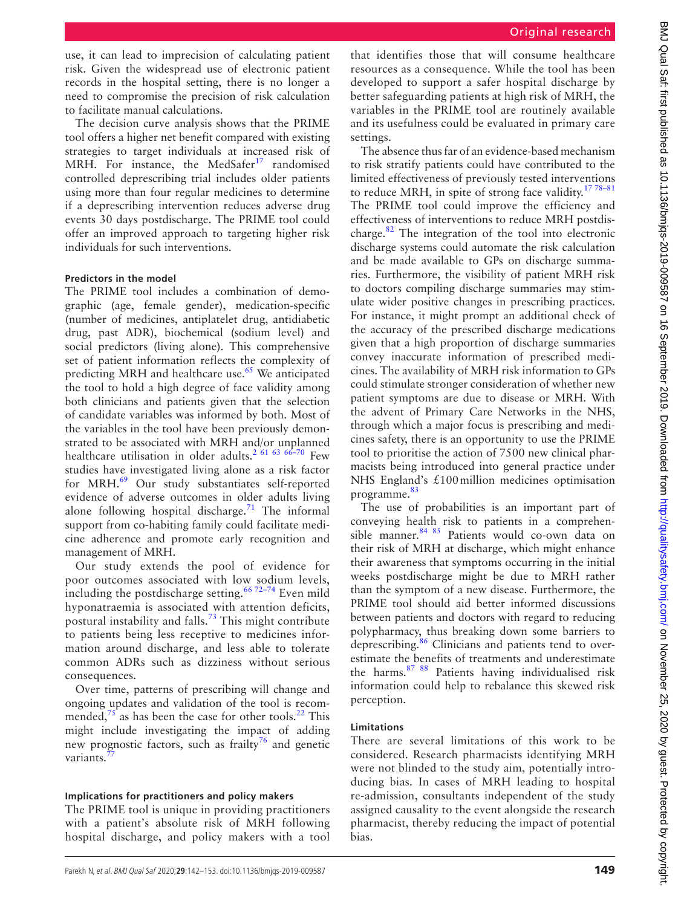use, it can lead to imprecision of calculating patient risk. Given the widespread use of electronic patient records in the hospital setting, there is no longer a need to compromise the precision of risk calculation to facilitate manual calculations.

The decision curve analysis shows that the PRIME tool offers a higher net benefit compared with existing strategies to target individuals at increased risk of MRH. For instance, the MedSafer $17$  randomised controlled deprescribing trial includes older patients using more than four regular medicines to determine if a deprescribing intervention reduces adverse drug events 30 days postdischarge. The PRIME tool could offer an improved approach to targeting higher risk individuals for such interventions.

### **Predictors in the model**

The PRIME tool includes a combination of demographic (age, female gender), medication-specific (number of medicines, antiplatelet drug, antidiabetic drug, past ADR), biochemical (sodium level) and social predictors (living alone). This comprehensive set of patient information reflects the complexity of predicting MRH and healthcare use.<sup>65</sup> We anticipated the tool to hold a high degree of face validity among both clinicians and patients given that the selection of candidate variables was informed by both. Most of the variables in the tool have been previously demonstrated to be associated with MRH and/or unplanned healthcare utilisation in older adults.<sup>2 61 63 66-70</sup> Few studies have investigated living alone as a risk factor for MRH.[69](#page-10-8) Our study substantiates self-reported evidence of adverse outcomes in older adults living alone following hospital discharge.<sup>[71](#page-10-9)</sup> The informal support from co-habiting family could facilitate medicine adherence and promote early recognition and management of MRH.

Our study extends the pool of evidence for poor outcomes associated with low sodium levels, including the postdischarge setting.<sup>[66 72–74](#page-10-10)</sup> Even mild hyponatraemia is associated with attention deficits, postural instability and falls.<sup>73</sup> This might contribute to patients being less receptive to medicines information around discharge, and less able to tolerate common ADRs such as dizziness without serious consequences.

Over time, patterns of prescribing will change and ongoing updates and validation of the tool is recommended, $\frac{75}{12}$  $\frac{75}{12}$  $\frac{75}{12}$  as has been the case for other tools.<sup>22</sup> This might include investigating the impact of adding new prognostic factors, such as frailty<sup>76</sup> and genetic variants.<sup>7</sup>

### **Implications for practitioners and policy makers**

The PRIME tool is unique in providing practitioners with a patient's absolute risk of MRH following hospital discharge, and policy makers with a tool

that identifies those that will consume healthcare resources as a consequence. While the tool has been developed to support a safer hospital discharge by better safeguarding patients at high risk of MRH, the variables in the PRIME tool are routinely available and its usefulness could be evaluated in primary care settings.

The absence thus far of an evidence-based mechanism to risk stratify patients could have contributed to the limited effectiveness of previously tested interventions to reduce MRH, in spite of strong face validity.<sup>1778-81</sup> The PRIME tool could improve the efficiency and effectiveness of interventions to reduce MRH postdischarge. $82$  The integration of the tool into electronic discharge systems could automate the risk calculation and be made available to GPs on discharge summaries. Furthermore, the visibility of patient MRH risk to doctors compiling discharge summaries may stimulate wider positive changes in prescribing practices. For instance, it might prompt an additional check of the accuracy of the prescribed discharge medications given that a high proportion of discharge summaries convey inaccurate information of prescribed medicines. The availability of MRH risk information to GPs could stimulate stronger consideration of whether new patient symptoms are due to disease or MRH. With the advent of Primary Care Networks in the NHS, through which a major focus is prescribing and medicines safety, there is an opportunity to use the PRIME tool to prioritise the action of 7500 new clinical pharmacists being introduced into general practice under NHS England's £100million medicines optimisation programme.<sup>[83](#page-10-16)</sup>

The use of probabilities is an important part of conveying health risk to patients in a comprehensible manner.<sup>84 85</sup> Patients would co-own data on their risk of MRH at discharge, which might enhance their awareness that symptoms occurring in the initial weeks postdischarge might be due to MRH rather than the symptom of a new disease. Furthermore, the PRIME tool should aid better informed discussions between patients and doctors with regard to reducing polypharmacy, thus breaking down some barriers to deprescribing.<sup>[86](#page-10-18)</sup> Clinicians and patients tend to overestimate the benefits of treatments and underestimate the harms.[87 88](#page-10-19) Patients having individualised risk information could help to rebalance this skewed risk perception.

### **Limitations**

There are several limitations of this work to be considered. Research pharmacists identifying MRH were not blinded to the study aim, potentially introducing bias. In cases of MRH leading to hospital re-admission, consultants independent of the study assigned causality to the event alongside the research pharmacist, thereby reducing the impact of potential bias.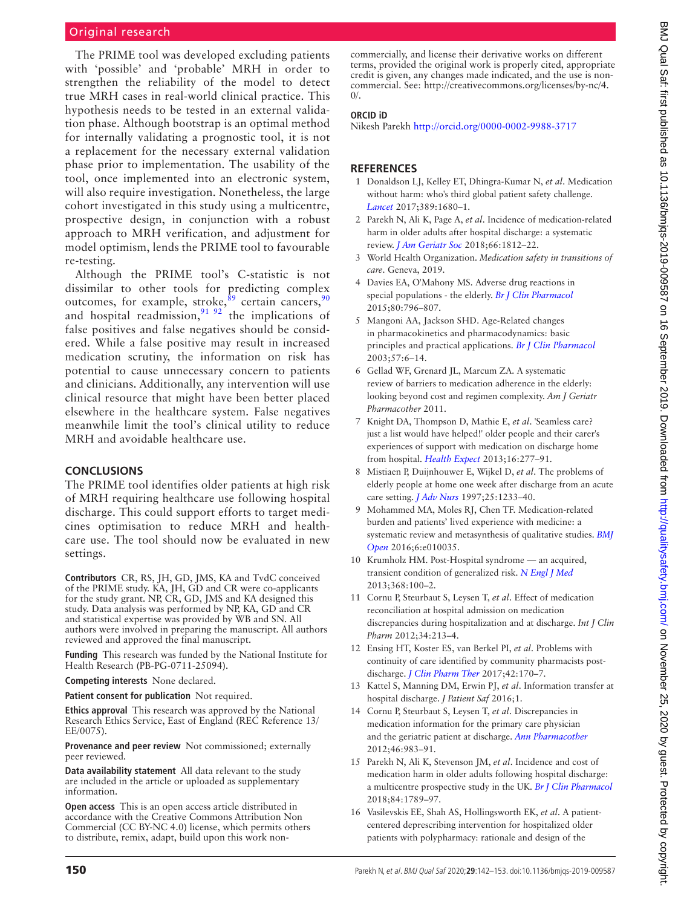## Original research

The PRIME tool was developed excluding patients with 'possible' and 'probable' MRH in order to strengthen the reliability of the model to detect true MRH cases in real-world clinical practice. This hypothesis needs to be tested in an external validation phase. Although bootstrap is an optimal method for internally validating a prognostic tool, it is not a replacement for the necessary external validation phase prior to implementation. The usability of the tool, once implemented into an electronic system, will also require investigation. Nonetheless, the large cohort investigated in this study using a multicentre, prospective design, in conjunction with a robust approach to MRH verification, and adjustment for model optimism, lends the PRIME tool to favourable re-testing.

Although the PRIME tool's C-statistic is not dissimilar to other tools for predicting complex outcomes, for example, stroke, $89$  certain cancers,  $90$ and hospital readmission,  $91\frac{92}{1}$  the implications of false positives and false negatives should be considered. While a false positive may result in increased medication scrutiny, the information on risk has potential to cause unnecessary concern to patients and clinicians. Additionally, any intervention will use clinical resource that might have been better placed elsewhere in the healthcare system. False negatives meanwhile limit the tool's clinical utility to reduce MRH and avoidable healthcare use.

#### **Conclusions**

The PRIME tool identifies older patients at high risk of MRH requiring healthcare use following hospital discharge. This could support efforts to target medicines optimisation to reduce MRH and healthcare use. The tool should now be evaluated in new settings.

**Contributors** CR, RS, JH, GD, JMS, KA and TvdC conceived of the PRIME study. KA, JH, GD and CR were co-applicants for the study grant. NP, CR, GD, JMS and KA designed this study. Data analysis was performed by NP, KA, GD and CR and statistical expertise was provided by WB and SN. All authors were involved in preparing the manuscript. All authors reviewed and approved the final manuscript.

**Funding** This research was funded by the National Institute for Health Research (PB-PG-0711-25094).

**Competing interests** None declared.

**Patient consent for publication** Not required.

**Ethics approval** This research was approved by the National Research Ethics Service, East of England (REC Reference 13/ EE/0075).

**Provenance and peer review** Not commissioned; externally peer reviewed.

**Data availability statement** All data relevant to the study are included in the article or uploaded as supplementary information.

**Open access** This is an open access article distributed in accordance with the Creative Commons Attribution Non Commercial (CC BY-NC 4.0) license, which permits others to distribute, remix, adapt, build upon this work non-

commercially, and license their derivative works on different terms, provided the original work is properly cited, appropriate credit is given, any changes made indicated, and the use is noncommercial. See: [http://creativecommons.org/licenses/by-nc/4.](http://creativecommons.org/licenses/by-nc/4.0/)  $0/$ .

#### **ORCID iD**

Nikesh Parekh <http://orcid.org/0000-0002-9988-3717>

#### **References**

- <span id="page-8-0"></span>1 Donaldson LJ, Kelley ET, Dhingra-Kumar N, *et al*. Medication without harm: who's third global patient safety challenge. *[Lancet](http://dx.doi.org/10.1016/S0140-6736(17)31047-4)* 2017;389:1680–1.
- <span id="page-8-1"></span>2 Parekh N, Ali K, Page A, *et al*. Incidence of medication-related harm in older adults after hospital discharge: a systematic review. *[J Am Geriatr Soc](http://dx.doi.org/10.1111/jgs.15419)* 2018;66:1812–22.
- <span id="page-8-2"></span>3 World Health Organization. *Medication safety in transitions of care*. Geneva, 2019.
- <span id="page-8-3"></span>4 Davies EA, O'Mahony MS. Adverse drug reactions in special populations - the elderly. *[Br J Clin Pharmacol](http://dx.doi.org/10.1111/bcp.12596)* 2015;80:796–807.
- <span id="page-8-4"></span>5 Mangoni AA, Jackson SHD. Age-Related changes in pharmacokinetics and pharmacodynamics: basic principles and practical applications. *[Br J Clin Pharmacol](http://dx.doi.org/10.1046/j.1365-2125.2003.02007.x)* 2003;57:6–14.
- <span id="page-8-5"></span>6 Gellad WF, Grenard JL, Marcum ZA. A systematic review of barriers to medication adherence in the elderly: looking beyond cost and regimen complexity. *Am J Geriatr Pharmacother* 2011.
- <span id="page-8-6"></span>7 Knight DA, Thompson D, Mathie E, *et al*. 'Seamless care? just a list would have helped!' older people and their carer's experiences of support with medication on discharge home from hospital. *[Health Expect](http://dx.doi.org/10.1111/j.1369-7625.2011.00714.x)* 2013;16:277–91.
- 8 Mistiaen P, Duijnhouwer E, Wijkel D, *et al*. The problems of elderly people at home one week after discharge from an acute care setting. *[J Adv Nurs](http://dx.doi.org/10.1046/j.1365-2648.1997.19970251233.x)* 1997;25:1233–40.
- 9 Mohammed MA, Moles RJ, Chen TF. Medication-related burden and patients' lived experience with medicine: a systematic review and metasynthesis of qualitative studies. *[BMJ](http://dx.doi.org/10.1136/bmjopen-2015-010035)  [Open](http://dx.doi.org/10.1136/bmjopen-2015-010035)* 2016;6:e010035.
- <span id="page-8-7"></span>10 Krumholz HM. Post-Hospital syndrome — an acquired, transient condition of generalized risk. *[N Engl J Med](http://dx.doi.org/10.1056/NEJMp1212324)* 2013;368:100–2.
- <span id="page-8-8"></span>11 Cornu P, Steurbaut S, Leysen T, *et al*. Effect of medication reconciliation at hospital admission on medication discrepancies during hospitalization and at discharge. *Int J Clin Pharm* 2012;34:213–4.
- <span id="page-8-9"></span>12 Ensing HT, Koster ES, van Berkel PI, *et al*. Problems with continuity of care identified by community pharmacists postdischarge. *[J Clin Pharm Ther](http://dx.doi.org/10.1111/jcpt.12488)* 2017;42:170–7.
- <span id="page-8-10"></span>13 Kattel S, Manning DM, Erwin PJ, *et al*. Information transfer at hospital discharge. *J Patient Saf* 2016;1.
- 14 Cornu P, Steurbaut S, Leysen T, *et al*. Discrepancies in medication information for the primary care physician and the geriatric patient at discharge. *[Ann Pharmacother](http://dx.doi.org/10.1345/aph.1R022)* 2012;46:983–91.
- <span id="page-8-11"></span>15 Parekh N, Ali K, Stevenson JM, *et al*. Incidence and cost of medication harm in older adults following hospital discharge: a multicentre prospective study in the UK. *[Br J Clin Pharmacol](http://dx.doi.org/10.1111/bcp.13613)* 2018;84:1789–97.
- <span id="page-8-12"></span>16 Vasilevskis EE, Shah AS, Hollingsworth EK, *et al*. A patientcentered deprescribing intervention for hospitalized older patients with polypharmacy: rationale and design of the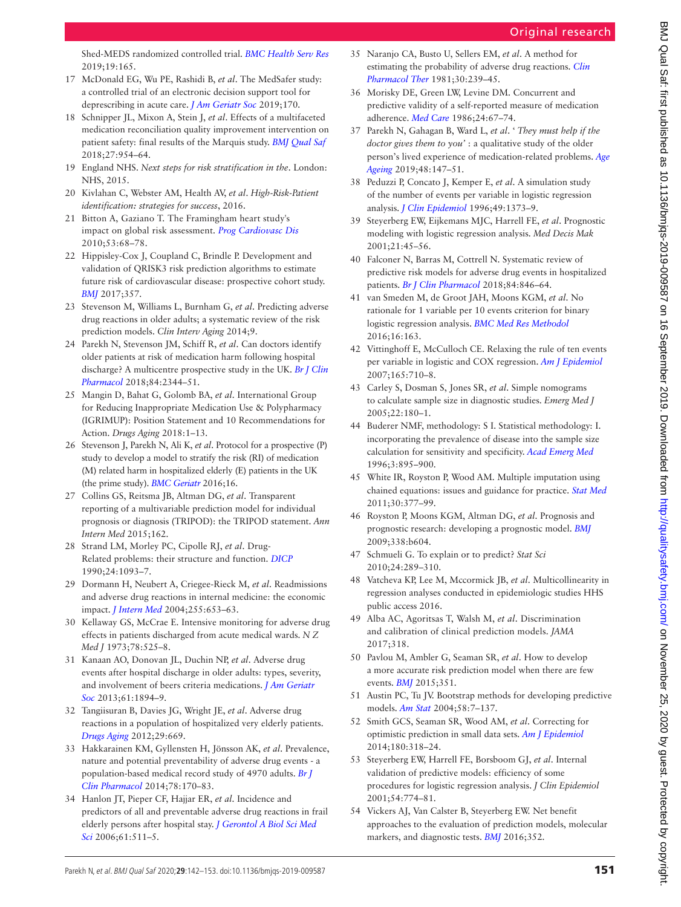Shed-MEDS randomized controlled trial. *[BMC Health Serv Res](http://dx.doi.org/10.1186/s12913-019-3995-3)* 2019;19:165.

- <span id="page-9-27"></span>17 McDonald EG, Wu PE, Rashidi B, *et al*. The MedSafer study: a controlled trial of an electronic decision support tool for deprescribing in acute care. *[J Am Geriatr Soc](http://dx.doi.org/10.1111/jgs.16040)* 2019;170.
- <span id="page-9-0"></span>18 Schnipper JL, Mixon A, Stein J, *et al*. Effects of a multifaceted medication reconciliation quality improvement intervention on patient safety: final results of the Marquis study. *[BMJ Qual Saf](http://dx.doi.org/10.1136/bmjqs-2018-008233)* 2018;27:954–64.
- <span id="page-9-1"></span>19 England NHS. *Next steps for risk stratification in the*. London: NHS, 2015.
- 20 Kivlahan C, Webster AM, Health AV, *et al*. *High-Risk-Patient identification: strategies for success*, 2016.
- <span id="page-9-2"></span>21 Bitton A, Gaziano T. The Framingham heart study's impact on global risk assessment. *[Prog Cardiovasc Dis](http://dx.doi.org/10.1016/j.pcad.2010.04.001)* 2010;53:68–78.
- <span id="page-9-3"></span>22 Hippisley-Cox J, Coupland C, Brindle P. Development and validation of QRISK3 risk prediction algorithms to estimate future risk of cardiovascular disease: prospective cohort study. *[BMJ](http://dx.doi.org/10.1136/bmj.j2099)* 2017;357.
- <span id="page-9-4"></span>23 Stevenson M, Williams L, Burnham G, *et al*. Predicting adverse drug reactions in older adults; a systematic review of the risk prediction models. *Clin Interv Aging* 2014;9.
- <span id="page-9-5"></span>24 Parekh N, Stevenson JM, Schiff R, *et al*. Can doctors identify older patients at risk of medication harm following hospital discharge? A multicentre prospective study in the UK. *[Br J Clin](http://dx.doi.org/10.1111/bcp.13690)  [Pharmacol](http://dx.doi.org/10.1111/bcp.13690)* 2018;84:2344–51.
- <span id="page-9-6"></span>25 Mangin D, Bahat G, Golomb BA, *et al*. International Group for Reducing Inappropriate Medication Use & Polypharmacy (IGRIMUP): Position Statement and 10 Recommendations for Action. *Drugs Aging* 2018:1–13.
- <span id="page-9-7"></span>26 Stevenson J, Parekh N, Ali K, *et al*. Protocol for a prospective (P) study to develop a model to stratify the risk (RI) of medication (M) related harm in hospitalized elderly (E) patients in the UK (the prime study). *[BMC Geriatr](http://dx.doi.org/10.1186/s12877-016-0191-8)* 2016;16.
- <span id="page-9-8"></span>27 Collins GS, Reitsma JB, Altman DG, *et al*. Transparent reporting of a multivariable prediction model for individual prognosis or diagnosis (TRIPOD): the TRIPOD statement. *Ann Intern Med* 2015;162.
- <span id="page-9-9"></span>28 Strand LM, Morley PC, Cipolle RJ, *et al*. Drug-Related problems: their structure and function. *[DICP](http://dx.doi.org/10.1177/106002809002401114)* 1990;24:1093–7.
- <span id="page-9-10"></span>29 Dormann H, Neubert A, Criegee-Rieck M, *et al*. Readmissions and adverse drug reactions in internal medicine: the economic impact. *[J Intern Med](http://dx.doi.org/10.1111/j.1365-2796.2004.01326.x)* 2004;255:653–63.
- 30 Kellaway GS, McCrae E. Intensive monitoring for adverse drug effects in patients discharged from acute medical wards. *N Z Med J* 1973;78:525–8.
- 31 Kanaan AO, Donovan JL, Duchin NP, *et al*. Adverse drug events after hospital discharge in older adults: types, severity, and involvement of beers criteria medications. *[J Am Geriatr](http://dx.doi.org/10.1111/jgs.12504)  [Soc](http://dx.doi.org/10.1111/jgs.12504)* 2013;61:1894–9.
- <span id="page-9-11"></span>32 Tangiisuran B, Davies JG, Wright JE, *et al*. Adverse drug reactions in a population of hospitalized very elderly patients. *[Drugs Aging](http://dx.doi.org/10.2165/11632630-000000000-00000)* 2012;29:669.
- 33 Hakkarainen KM, Gyllensten H, Jönsson AK, *et al*. Prevalence, nature and potential preventability of adverse drug events - a population-based medical record study of 4970 adults. *[Br J](http://dx.doi.org/10.1111/bcp.12314)  [Clin Pharmacol](http://dx.doi.org/10.1111/bcp.12314)* 2014;78:170–83.
- 34 Hanlon JT, Pieper CF, Hajjar ER, *et al*. Incidence and predictors of all and preventable adverse drug reactions in frail elderly persons after hospital stay. *[J Gerontol A Biol Sci Med](http://dx.doi.org/10.1093/gerona/61.5.511)*
- <span id="page-9-12"></span>35 Naranjo CA, Busto U, Sellers EM, *et al*. A method for estimating the probability of adverse drug reactions. *[Clin](http://dx.doi.org/10.1038/clpt.1981.154)  [Pharmacol Ther](http://dx.doi.org/10.1038/clpt.1981.154)* 1981;30:239–45.
- <span id="page-9-13"></span>36 Morisky DE, Green LW, Levine DM. Concurrent and predictive validity of a self-reported measure of medication adherence. *[Med Care](http://dx.doi.org/10.1097/00005650-198601000-00007)* 1986;24:67–74.
- <span id="page-9-14"></span>37 Parekh N, Gahagan B, Ward L, *et al*. ' *They must help if the doctor gives them to you'* : a qualitative study of the older person's lived experience of medication-related problems. *[Age](http://dx.doi.org/10.1093/ageing/afy142)  [Ageing](http://dx.doi.org/10.1093/ageing/afy142)* 2019;48:147–51.
- <span id="page-9-16"></span>38 Peduzzi P, Concato J, Kemper E, *et al*. A simulation study of the number of events per variable in logistic regression analysis. *[J Clin Epidemiol](http://dx.doi.org/10.1016/S0895-4356(96)00236-3)* 1996;49:1373–9.
- <span id="page-9-15"></span>39 Steyerberg EW, Eijkemans MJC, Harrell FE, *et al*. Prognostic modeling with logistic regression analysis. *Med Decis Mak* 2001;21:45–56.
- 40 Falconer N, Barras M, Cottrell N. Systematic review of predictive risk models for adverse drug events in hospitalized patients. *[Br J Clin Pharmacol](http://dx.doi.org/10.1111/bcp.13514)* 2018;84:846–64.
- <span id="page-9-17"></span>41 van Smeden M, de Groot JAH, Moons KGM, *et al*. No rationale for 1 variable per 10 events criterion for binary logistic regression analysis. *[BMC Med Res Methodol](http://dx.doi.org/10.1186/s12874-016-0267-3)* 2016;16:163.
- 42 Vittinghoff E, McCulloch CE. Relaxing the rule of ten events per variable in logistic and COX regression. *[Am J Epidemiol](http://dx.doi.org/10.1093/aje/kwk052)* 2007;165:710–8.
- <span id="page-9-18"></span>43 Carley S, Dosman S, Jones SR, *et al*. Simple nomograms to calculate sample size in diagnostic studies. *Emerg Med J* 2005;22:180–1.
- <span id="page-9-19"></span>44 Buderer NMF, methodology: S I. Statistical methodology: I. incorporating the prevalence of disease into the sample size calculation for sensitivity and specificity. *[Acad Emerg Med](http://dx.doi.org/10.1111/j.1553-2712.1996.tb03538.x)* 1996;3:895–900.
- <span id="page-9-20"></span>45 White IR, Royston P, Wood AM. Multiple imputation using chained equations: issues and guidance for practice. *[Stat Med](http://dx.doi.org/10.1002/sim.4067)* 2011;30:377–99.
- <span id="page-9-21"></span>46 Royston P, Moons KGM, Altman DG, *et al*. Prognosis and prognostic research: developing a prognostic model. *[BMJ](http://dx.doi.org/10.1136/bmj.b604)* 2009;338:b604.
- <span id="page-9-22"></span>47 Schmueli G. To explain or to predict? *Stat Sci* 2010;24:289–310.
- <span id="page-9-23"></span>48 Vatcheva KP, Lee M, Mccormick JB, *et al*. Multicollinearity in regression analyses conducted in epidemiologic studies HHS public access 2016.
- <span id="page-9-24"></span>49 Alba AC, Agoritsas T, Walsh M, *et al*. Discrimination and calibration of clinical prediction models. *JAMA* 2017;318.
- <span id="page-9-25"></span>50 Pavlou M, Ambler G, Seaman SR, *et al*. How to develop a more accurate risk prediction model when there are few events. *[BMJ](http://dx.doi.org/10.1136/bmj.h3868)* 2015;351.
- 51 Austin PC, Tu JV. Bootstrap methods for developing predictive models. *[Am Stat](http://dx.doi.org/10.1198/0003130043277)* 2004;58:7–137.
- 52 Smith GCS, Seaman SR, Wood AM, *et al*. Correcting for optimistic prediction in small data sets. *[Am J Epidemiol](http://dx.doi.org/10.1093/aje/kwu140)* 2014;180:318–24.
- 53 Steyerberg EW, Harrell FE, Borsboom GJ, *et al*. Internal validation of predictive models: efficiency of some procedures for logistic regression analysis. *J Clin Epidemiol* 2001;54:774–81.
- <span id="page-9-26"></span>54 Vickers AJ, Van Calster B, Steyerberg EW. Net benefit approaches to the evaluation of prediction models, molecular markers, and diagnostic tests. *[BMJ](http://dx.doi.org/10.1136/bmj.i6)* 2016;352.

BMJ Qual Saf: first published as 10.1136/bmjqs-2019-009587 on 16 September 2019. Downloaded from http://qualitysafety.bmj.com/ on November 25, 2020 by guest. Protected by copyright BMJ Qual Sat: first published as 10.1136/bmjqs-2019-009587 on 16 September 2019. Downloaded from mitryiqualitysafety.bmj.com/ on November 25, 2020 by guest. Protected by copyright.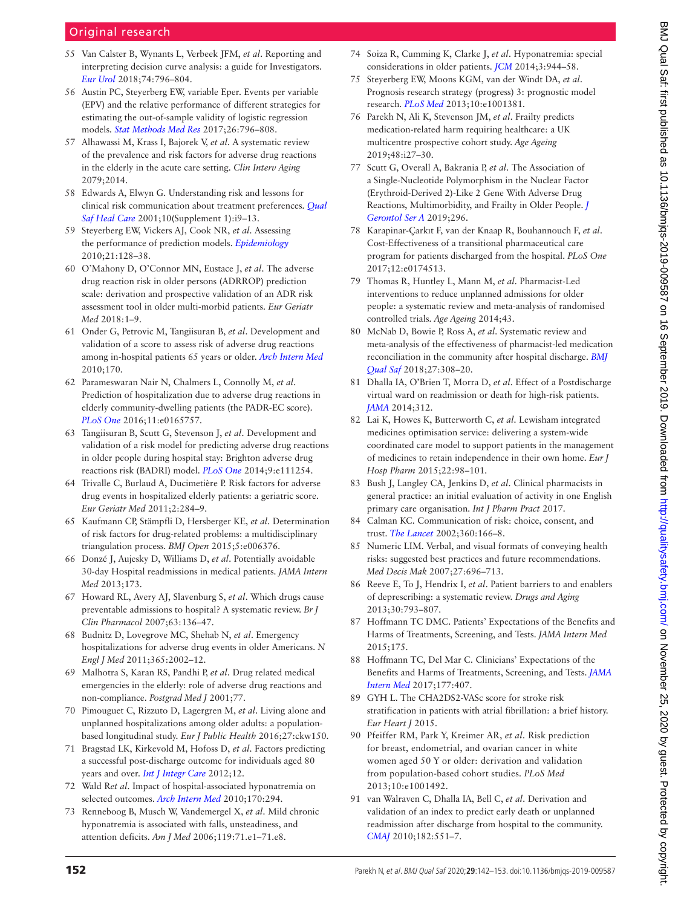# Original research

- 55 Van Calster B, Wynants L, Verbeek JFM, *et al*. Reporting and interpreting decision curve analysis: a guide for Investigators. *[Eur Urol](http://dx.doi.org/10.1016/j.eururo.2018.08.038)* 2018;74:796–804.
- <span id="page-10-0"></span>56 Austin PC, Steyerberg EW, variable Eper. Events per variable (EPV) and the relative performance of different strategies for estimating the out-of-sample validity of logistic regression models. *[Stat Methods Med Res](http://dx.doi.org/10.1177/0962280214558972)* 2017;26:796–808.
- 57 Alhawassi M, Krass I, Bajorek V, *et al*. A systematic review of the prevalence and risk factors for adverse drug reactions in the elderly in the acute care setting. *Clin Interv Aging* 2079;2014.
- <span id="page-10-1"></span>58 Edwards A, Elwyn G. Understanding risk and lessons for clinical risk communication about treatment preferences. *[Qual](http://dx.doi.org/10.1136/qhc.0100009)  [Saf Heal Care](http://dx.doi.org/10.1136/qhc.0100009)* 2001;10(Supplement 1):i9–13.
- 59 Steyerberg EW, Vickers AJ, Cook NR, *et al*. Assessing the performance of prediction models. *[Epidemiology](http://dx.doi.org/10.1097/EDE.0b013e3181c30fb2)* 2010;21:128–38.
- <span id="page-10-2"></span>60 O'Mahony D, O'Connor MN, Eustace J, *et al*. The adverse drug reaction risk in older persons (ADRROP) prediction scale: derivation and prospective validation of an ADR risk assessment tool in older multi-morbid patients. *Eur Geriatr Med* 2018:1–9.
- <span id="page-10-3"></span>61 Onder G, Petrovic M, Tangiisuran B, *et al*. Development and validation of a score to assess risk of adverse drug reactions among in-hospital patients 65 years or older. *[Arch Intern Med](http://dx.doi.org/10.1001/archinternmed.2010.153)* 2010;170.
- <span id="page-10-4"></span>62 Parameswaran Nair N, Chalmers L, Connolly M, *et al*. Prediction of hospitalization due to adverse drug reactions in elderly community-dwelling patients (the PADR-EC score). *[PLoS One](http://dx.doi.org/10.1371/journal.pone.0165757)* 2016;11:e0165757.
- <span id="page-10-5"></span>63 Tangiisuran B, Scutt G, Stevenson J, *et al*. Development and validation of a risk model for predicting adverse drug reactions in older people during hospital stay: Brighton adverse drug reactions risk (BADRI) model. *[PLoS One](http://dx.doi.org/10.1371/journal.pone.0111254)* 2014;9:e111254.
- <span id="page-10-6"></span>64 Trivalle C, Burlaud A, Ducimetière P. Risk factors for adverse drug events in hospitalized elderly patients: a geriatric score. *Eur Geriatr Med* 2011;2:284–9.
- <span id="page-10-7"></span>65 Kaufmann CP, Stämpfli D, Hersberger KE, *et al*. Determination of risk factors for drug-related problems: a multidisciplinary triangulation process. *BMJ Open* 2015;5:e006376.
- <span id="page-10-10"></span>66 Donzé J, Aujesky D, Williams D, *et al*. Potentially avoidable 30-day Hospital readmissions in medical patients. *JAMA Intern Med* 2013;173.
- 67 Howard RL, Avery AJ, Slavenburg S, *et al*. Which drugs cause preventable admissions to hospital? A systematic review. *Br J Clin Pharmacol* 2007;63:136–47.
- 68 Budnitz D, Lovegrove MC, Shehab N, *et al*. Emergency hospitalizations for adverse drug events in older Americans. *N Engl J Med* 2011;365:2002–12.
- <span id="page-10-8"></span>69 Malhotra S, Karan RS, Pandhi P, *et al*. Drug related medical emergencies in the elderly: role of adverse drug reactions and non-compliance. *Postgrad Med J* 2001;77.
- 70 Pimouguet C, Rizzuto D, Lagergren M, *et al*. Living alone and unplanned hospitalizations among older adults: a populationbased longitudinal study. *Eur J Public Health* 2016;27:ckw150.
- <span id="page-10-9"></span>71 Bragstad LK, Kirkevold M, Hofoss D, *et al*. Factors predicting a successful post-discharge outcome for individuals aged 80 years and over. *[Int J Integr Care](http://dx.doi.org/10.5334/ijic.691)* 2012;12.
- 72 Wald R*et al*. Impact of hospital-associated hyponatremia on selected outcomes. *[Arch Intern Med](http://dx.doi.org/10.1001/archinternmed.2009.513)* 2010;170:294.
- <span id="page-10-11"></span>73 Renneboog B, Musch W, Vandemergel X, *et al*. Mild chronic hyponatremia is associated with falls, unsteadiness, and attention deficits. *Am J Med* 2006;119:71.e1–71.e8.
- 74 Soiza R, Cumming K, Clarke J, *et al*. Hyponatremia: special considerations in older patients. *[JCM](http://dx.doi.org/10.3390/jcm3030944)* 2014;3:944–58.
- <span id="page-10-12"></span>75 Steyerberg EW, Moons KGM, van der Windt DA, *et al*. Prognosis research strategy (progress) 3: prognostic model research. *[PLoS Med](http://dx.doi.org/10.1371/journal.pmed.1001381)* 2013;10:e1001381.
- <span id="page-10-13"></span>76 Parekh N, Ali K, Stevenson JM, *et al*. Frailty predicts medication-related harm requiring healthcare: a UK multicentre prospective cohort study. *Age Ageing* 2019;48:i27–30.
- <span id="page-10-14"></span>77 Scutt G, Overall A, Bakrania P, *et al*. The Association of a Single-Nucleotide Polymorphism in the Nuclear Factor (Erythroid-Derived 2)-Like 2 Gene With Adverse Drug Reactions, Multimorbidity, and Frailty in Older People. *[J](http://dx.doi.org/10.1093/gerona/glz131)  [Gerontol Ser A](http://dx.doi.org/10.1093/gerona/glz131)* 2019;296.
- 78 Karapinar-Çarkıt F, van der Knaap R, Bouhannouch F, *et al*. Cost-Effectiveness of a transitional pharmaceutical care program for patients discharged from the hospital. *PLoS One* 2017;12:e0174513.
- 79 Thomas R, Huntley L, Mann M, *et al*. Pharmacist-Led interventions to reduce unplanned admissions for older people: a systematic review and meta-analysis of randomised controlled trials. *Age Ageing* 2014;43.
- 80 McNab D, Bowie P, Ross A, *et al*. Systematic review and meta-analysis of the effectiveness of pharmacist-led medication reconciliation in the community after hospital discharge. *[BMJ](http://dx.doi.org/10.1136/bmjqs-2017-007087)  [Qual Saf](http://dx.doi.org/10.1136/bmjqs-2017-007087)* 2018;27:308–20.
- 81 Dhalla IA, O'Brien T, Morra D, *et al*. Effect of a Postdischarge virtual ward on readmission or death for high-risk patients. *[JAMA](http://dx.doi.org/10.1001/jama.2014.11492)* 2014;312.
- <span id="page-10-15"></span>82 Lai K, Howes K, Butterworth C, *et al*. Lewisham integrated medicines optimisation service: delivering a system-wide coordinated care model to support patients in the management of medicines to retain independence in their own home. *Eur J Hosp Pharm* 2015;22:98–101.
- <span id="page-10-16"></span>83 Bush J, Langley CA, Jenkins D, *et al*. Clinical pharmacists in general practice: an initial evaluation of activity in one English primary care organisation. *Int J Pharm Pract* 2017.
- <span id="page-10-17"></span>84 Calman KC. Communication of risk: choice, consent, and trust. *[The Lancet](http://dx.doi.org/10.1016/S0140-6736(02)09421-7)* 2002;360:166–8.
- 85 Numeric LIM. Verbal, and visual formats of conveying health risks: suggested best practices and future recommendations. *Med Decis Mak* 2007;27:696–713.
- <span id="page-10-18"></span>86 Reeve E, To J, Hendrix I, *et al*. Patient barriers to and enablers of deprescribing: a systematic review. *Drugs and Aging* 2013;30:793–807.
- <span id="page-10-19"></span>87 Hoffmann TC DMC. Patients' Expectations of the Benefits and Harms of Treatments, Screening, and Tests. *JAMA Intern Med* 2015;175.
- 88 Hoffmann TC, Del Mar C. Clinicians' Expectations of the Benefits and Harms of Treatments, Screening, and Tests. *[JAMA](http://dx.doi.org/10.1001/jamainternmed.2016.8254)  [Intern Med](http://dx.doi.org/10.1001/jamainternmed.2016.8254)* 2017;177:407.
- <span id="page-10-20"></span>89 GYH L. The CHA2DS2-VASc score for stroke risk stratification in patients with atrial fibrillation: a brief history. *Eur Heart J* 2015.
- <span id="page-10-21"></span>90 Pfeiffer RM, Park Y, Kreimer AR, *et al*. Risk prediction for breast, endometrial, and ovarian cancer in white women aged 50 Y or older: derivation and validation from population-based cohort studies. *PLoS Med* 2013;10:e1001492.
- <span id="page-10-22"></span>91 van Walraven C, Dhalla IA, Bell C, *et al*. Derivation and validation of an index to predict early death or unplanned readmission after discharge from hospital to the community. *[CMAJ](http://dx.doi.org/10.1503/cmaj.091117)* 2010;182:551–7.